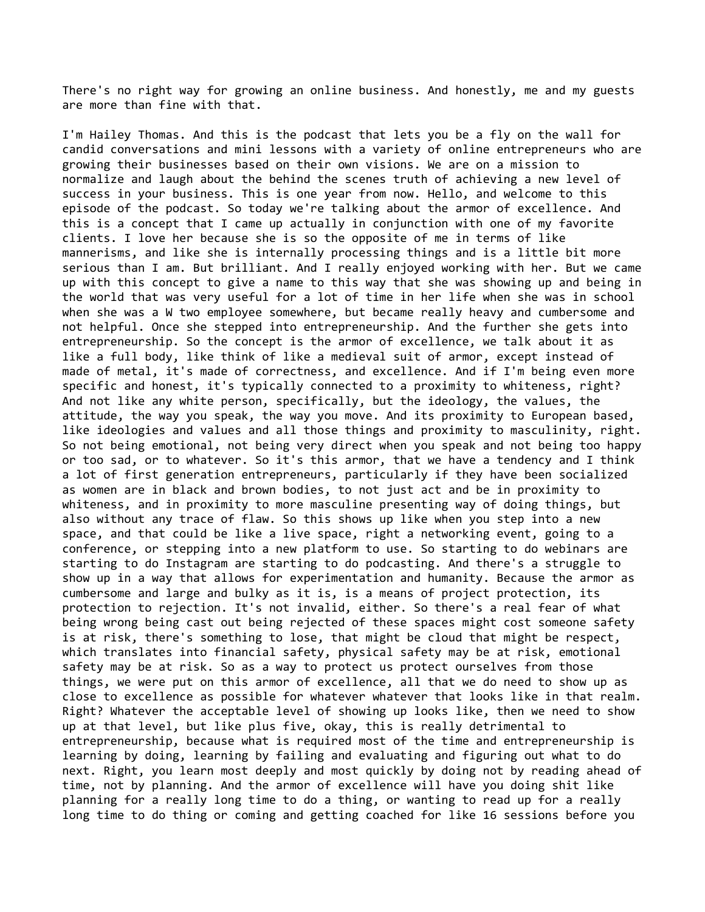There's no right way for growing an online business. And honestly, me and my guests are more than fine with that.

I'm Hailey Thomas. And this is the podcast that lets you be a fly on the wall for candid conversations and mini lessons with a variety of online entrepreneurs who are growing their businesses based on their own visions. We are on a mission to normalize and laugh about the behind the scenes truth of achieving a new level of success in your business. This is one year from now. Hello, and welcome to this episode of the podcast. So today we're talking about the armor of excellence. And this is a concept that I came up actually in conjunction with one of my favorite clients. I love her because she is so the opposite of me in terms of like mannerisms, and like she is internally processing things and is a little bit more serious than I am. But brilliant. And I really enjoyed working with her. But we came up with this concept to give a name to this way that she was showing up and being in the world that was very useful for a lot of time in her life when she was in school when she was a W two employee somewhere, but became really heavy and cumbersome and not helpful. Once she stepped into entrepreneurship. And the further she gets into entrepreneurship. So the concept is the armor of excellence, we talk about it as like a full body, like think of like a medieval suit of armor, except instead of made of metal, it's made of correctness, and excellence. And if I'm being even more specific and honest, it's typically connected to a proximity to whiteness, right? And not like any white person, specifically, but the ideology, the values, the attitude, the way you speak, the way you move. And its proximity to European based, like ideologies and values and all those things and proximity to masculinity, right. So not being emotional, not being very direct when you speak and not being too happy or too sad, or to whatever. So it's this armor, that we have a tendency and I think a lot of first generation entrepreneurs, particularly if they have been socialized as women are in black and brown bodies, to not just act and be in proximity to whiteness, and in proximity to more masculine presenting way of doing things, but also without any trace of flaw. So this shows up like when you step into a new space, and that could be like a live space, right a networking event, going to a conference, or stepping into a new platform to use. So starting to do webinars are starting to do Instagram are starting to do podcasting. And there's a struggle to show up in a way that allows for experimentation and humanity. Because the armor as cumbersome and large and bulky as it is, is a means of project protection, its protection to rejection. It's not invalid, either. So there's a real fear of what being wrong being cast out being rejected of these spaces might cost someone safety is at risk, there's something to lose, that might be cloud that might be respect, which translates into financial safety, physical safety may be at risk, emotional safety may be at risk. So as a way to protect us protect ourselves from those things, we were put on this armor of excellence, all that we do need to show up as close to excellence as possible for whatever whatever that looks like in that realm. Right? Whatever the acceptable level of showing up looks like, then we need to show up at that level, but like plus five, okay, this is really detrimental to entrepreneurship, because what is required most of the time and entrepreneurship is learning by doing, learning by failing and evaluating and figuring out what to do next. Right, you learn most deeply and most quickly by doing not by reading ahead of time, not by planning. And the armor of excellence will have you doing shit like planning for a really long time to do a thing, or wanting to read up for a really long time to do thing or coming and getting coached for like 16 sessions before you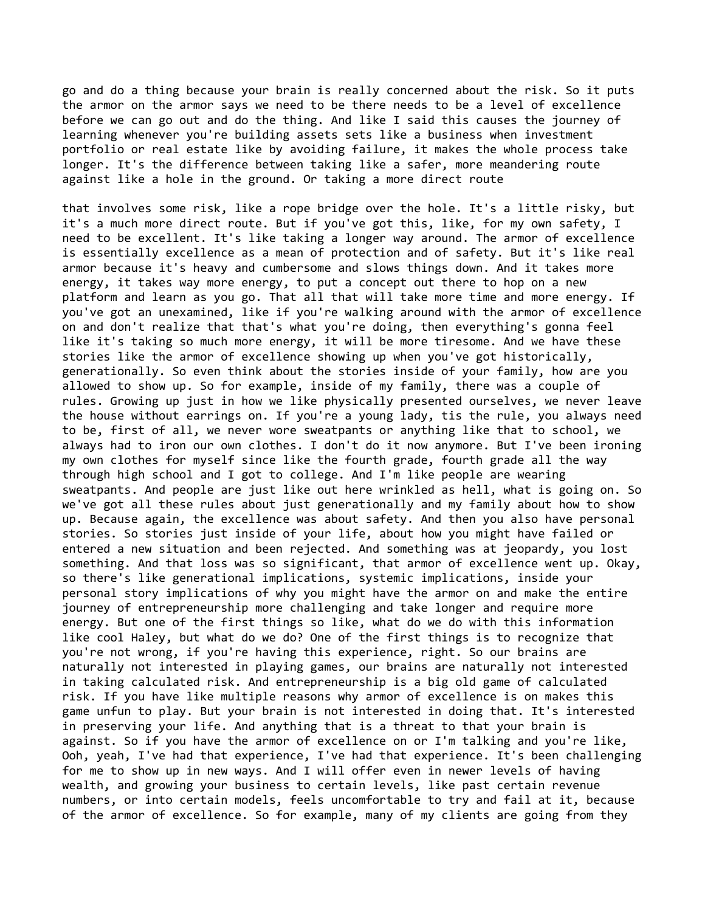go and do a thing because your brain is really concerned about the risk. So it puts the armor on the armor says we need to be there needs to be a level of excellence before we can go out and do the thing. And like I said this causes the journey of learning whenever you're building assets sets like a business when investment portfolio or real estate like by avoiding failure, it makes the whole process take longer. It's the difference between taking like a safer, more meandering route against like a hole in the ground. Or taking a more direct route

that involves some risk, like a rope bridge over the hole. It's a little risky, but it's a much more direct route. But if you've got this, like, for my own safety, I need to be excellent. It's like taking a longer way around. The armor of excellence is essentially excellence as a mean of protection and of safety. But it's like real armor because it's heavy and cumbersome and slows things down. And it takes more energy, it takes way more energy, to put a concept out there to hop on a new platform and learn as you go. That all that will take more time and more energy. If you've got an unexamined, like if you're walking around with the armor of excellence on and don't realize that that's what you're doing, then everything's gonna feel like it's taking so much more energy, it will be more tiresome. And we have these stories like the armor of excellence showing up when you've got historically, generationally. So even think about the stories inside of your family, how are you allowed to show up. So for example, inside of my family, there was a couple of rules. Growing up just in how we like physically presented ourselves, we never leave the house without earrings on. If you're a young lady, tis the rule, you always need to be, first of all, we never wore sweatpants or anything like that to school, we always had to iron our own clothes. I don't do it now anymore. But I've been ironing my own clothes for myself since like the fourth grade, fourth grade all the way through high school and I got to college. And I'm like people are wearing sweatpants. And people are just like out here wrinkled as hell, what is going on. So we've got all these rules about just generationally and my family about how to show up. Because again, the excellence was about safety. And then you also have personal stories. So stories just inside of your life, about how you might have failed or entered a new situation and been rejected. And something was at jeopardy, you lost something. And that loss was so significant, that armor of excellence went up. Okay, so there's like generational implications, systemic implications, inside your personal story implications of why you might have the armor on and make the entire journey of entrepreneurship more challenging and take longer and require more energy. But one of the first things so like, what do we do with this information like cool Haley, but what do we do? One of the first things is to recognize that you're not wrong, if you're having this experience, right. So our brains are naturally not interested in playing games, our brains are naturally not interested in taking calculated risk. And entrepreneurship is a big old game of calculated risk. If you have like multiple reasons why armor of excellence is on makes this game unfun to play. But your brain is not interested in doing that. It's interested in preserving your life. And anything that is a threat to that your brain is against. So if you have the armor of excellence on or I'm talking and you're like, Ooh, yeah, I've had that experience, I've had that experience. It's been challenging for me to show up in new ways. And I will offer even in newer levels of having wealth, and growing your business to certain levels, like past certain revenue numbers, or into certain models, feels uncomfortable to try and fail at it, because of the armor of excellence. So for example, many of my clients are going from they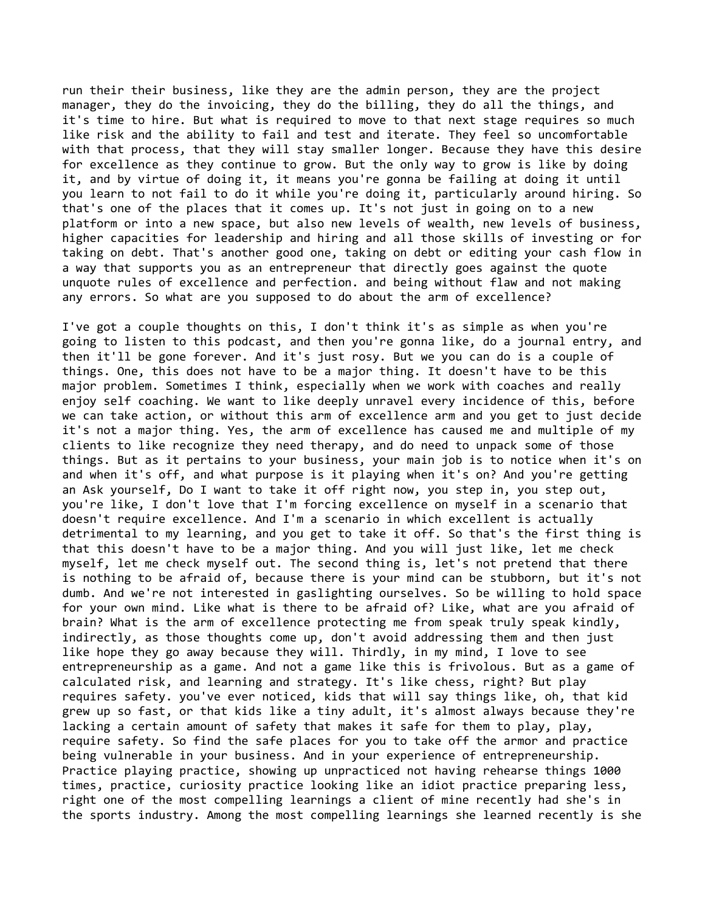run their their business, like they are the admin person, they are the project manager, they do the invoicing, they do the billing, they do all the things, and it's time to hire. But what is required to move to that next stage requires so much like risk and the ability to fail and test and iterate. They feel so uncomfortable with that process, that they will stay smaller longer. Because they have this desire for excellence as they continue to grow. But the only way to grow is like by doing it, and by virtue of doing it, it means you're gonna be failing at doing it until you learn to not fail to do it while you're doing it, particularly around hiring. So that's one of the places that it comes up. It's not just in going on to a new platform or into a new space, but also new levels of wealth, new levels of business, higher capacities for leadership and hiring and all those skills of investing or for taking on debt. That's another good one, taking on debt or editing your cash flow in a way that supports you as an entrepreneur that directly goes against the quote unquote rules of excellence and perfection. and being without flaw and not making any errors. So what are you supposed to do about the arm of excellence?

I've got a couple thoughts on this, I don't think it's as simple as when you're going to listen to this podcast, and then you're gonna like, do a journal entry, and then it'll be gone forever. And it's just rosy. But we you can do is a couple of things. One, this does not have to be a major thing. It doesn't have to be this major problem. Sometimes I think, especially when we work with coaches and really enjoy self coaching. We want to like deeply unravel every incidence of this, before we can take action, or without this arm of excellence arm and you get to just decide it's not a major thing. Yes, the arm of excellence has caused me and multiple of my clients to like recognize they need therapy, and do need to unpack some of those things. But as it pertains to your business, your main job is to notice when it's on and when it's off, and what purpose is it playing when it's on? And you're getting an Ask yourself, Do I want to take it off right now, you step in, you step out, you're like, I don't love that I'm forcing excellence on myself in a scenario that doesn't require excellence. And I'm a scenario in which excellent is actually detrimental to my learning, and you get to take it off. So that's the first thing is that this doesn't have to be a major thing. And you will just like, let me check myself, let me check myself out. The second thing is, let's not pretend that there is nothing to be afraid of, because there is your mind can be stubborn, but it's not dumb. And we're not interested in gaslighting ourselves. So be willing to hold space for your own mind. Like what is there to be afraid of? Like, what are you afraid of brain? What is the arm of excellence protecting me from speak truly speak kindly, indirectly, as those thoughts come up, don't avoid addressing them and then just like hope they go away because they will. Thirdly, in my mind, I love to see entrepreneurship as a game. And not a game like this is frivolous. But as a game of calculated risk, and learning and strategy. It's like chess, right? But play requires safety. you've ever noticed, kids that will say things like, oh, that kid grew up so fast, or that kids like a tiny adult, it's almost always because they're lacking a certain amount of safety that makes it safe for them to play, play, require safety. So find the safe places for you to take off the armor and practice being vulnerable in your business. And in your experience of entrepreneurship. Practice playing practice, showing up unpracticed not having rehearse things 1000 times, practice, curiosity practice looking like an idiot practice preparing less, right one of the most compelling learnings a client of mine recently had she's in the sports industry. Among the most compelling learnings she learned recently is she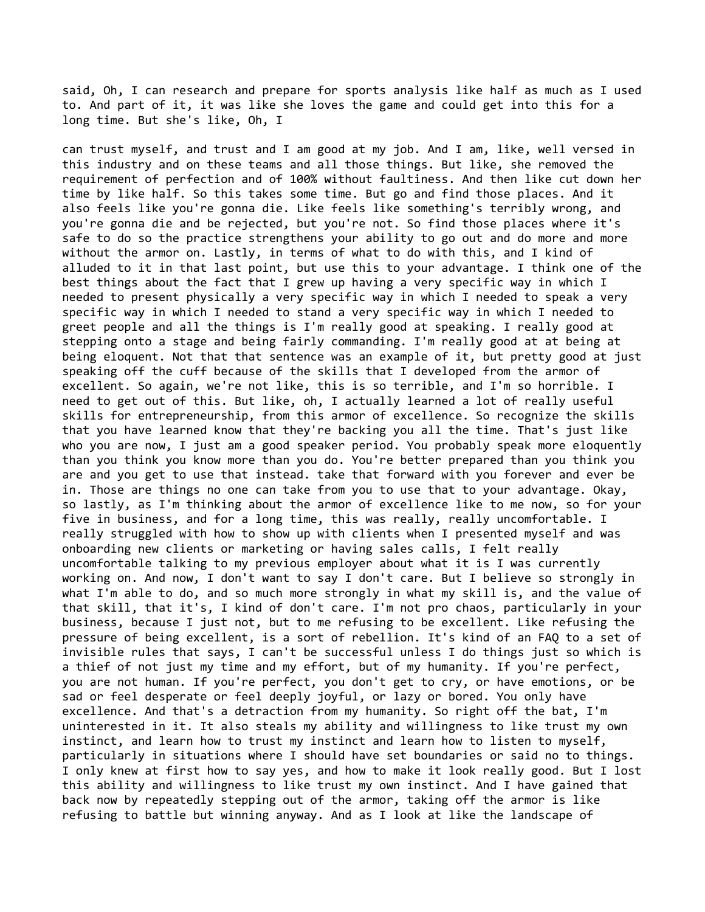said, Oh, I can research and prepare for sports analysis like half as much as I used to. And part of it, it was like she loves the game and could get into this for a long time. But she's like, Oh, I

can trust myself, and trust and I am good at my job. And I am, like, well versed in this industry and on these teams and all those things. But like, she removed the requirement of perfection and of 100% without faultiness. And then like cut down her time by like half. So this takes some time. But go and find those places. And it also feels like you're gonna die. Like feels like something's terribly wrong, and you're gonna die and be rejected, but you're not. So find those places where it's safe to do so the practice strengthens your ability to go out and do more and more without the armor on. Lastly, in terms of what to do with this, and I kind of alluded to it in that last point, but use this to your advantage. I think one of the best things about the fact that I grew up having a very specific way in which I needed to present physically a very specific way in which I needed to speak a very specific way in which I needed to stand a very specific way in which I needed to greet people and all the things is I'm really good at speaking. I really good at stepping onto a stage and being fairly commanding. I'm really good at at being at being eloquent. Not that that sentence was an example of it, but pretty good at just speaking off the cuff because of the skills that I developed from the armor of excellent. So again, we're not like, this is so terrible, and I'm so horrible. I need to get out of this. But like, oh, I actually learned a lot of really useful skills for entrepreneurship, from this armor of excellence. So recognize the skills that you have learned know that they're backing you all the time. That's just like who you are now, I just am a good speaker period. You probably speak more eloquently than you think you know more than you do. You're better prepared than you think you are and you get to use that instead. take that forward with you forever and ever be in. Those are things no one can take from you to use that to your advantage. Okay, so lastly, as I'm thinking about the armor of excellence like to me now, so for your five in business, and for a long time, this was really, really uncomfortable. I really struggled with how to show up with clients when I presented myself and was onboarding new clients or marketing or having sales calls, I felt really uncomfortable talking to my previous employer about what it is I was currently working on. And now, I don't want to say I don't care. But I believe so strongly in what I'm able to do, and so much more strongly in what my skill is, and the value of that skill, that it's, I kind of don't care. I'm not pro chaos, particularly in your business, because I just not, but to me refusing to be excellent. Like refusing the pressure of being excellent, is a sort of rebellion. It's kind of an FAQ to a set of invisible rules that says, I can't be successful unless I do things just so which is a thief of not just my time and my effort, but of my humanity. If you're perfect, you are not human. If you're perfect, you don't get to cry, or have emotions, or be sad or feel desperate or feel deeply joyful, or lazy or bored. You only have excellence. And that's a detraction from my humanity. So right off the bat, I'm uninterested in it. It also steals my ability and willingness to like trust my own instinct, and learn how to trust my instinct and learn how to listen to myself, particularly in situations where I should have set boundaries or said no to things. I only knew at first how to say yes, and how to make it look really good. But I lost this ability and willingness to like trust my own instinct. And I have gained that back now by repeatedly stepping out of the armor, taking off the armor is like refusing to battle but winning anyway. And as I look at like the landscape of